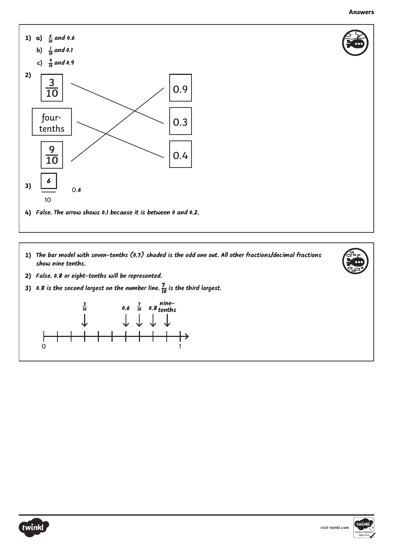

- **1)** The bar model with seven-tenths (0.7) shaded is the odd one out. All other fractions/decimal fractions **show nine tenths.**
- **2) False. 0.8 or eight-tenths will be represented.**
- **3) 0.8** is the second largest on the number line.  $\frac{7}{10}$  is the third largest.